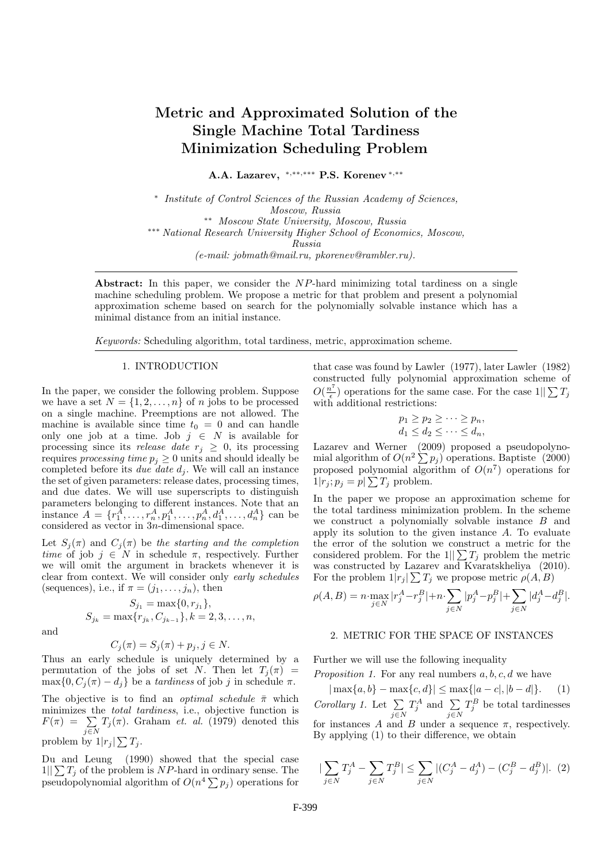# Metric and Approximated Solution of the Single Machine Total Tardiness Minimization Scheduling Problem

A.A. Lazarev, <sup>∗</sup>,∗∗,∗∗∗ P.S. Korenev <sup>∗</sup>,∗∗

∗ Institute of Control Sciences of the Russian Academy of Sciences, Moscow, Russia ∗∗ Moscow State University, Moscow, Russia ∗∗∗ National Research University Higher School of Economics, Moscow, Russia (e-mail: jobmath@mail.ru, pkorenev@rambler.ru).

Abstract: In this paper, we consider the NP-hard minimizing total tardiness on a single machine scheduling problem. We propose a metric for that problem and present a polynomial approximation scheme based on search for the polynomially solvable instance which has a minimal distance from an initial instance.

Keywords: Scheduling algorithm, total tardiness, metric, approximation scheme.

### 1. INTRODUCTION

In the paper, we consider the following problem. Suppose we have a set  $N = \{1, 2, ..., n\}$  of n jobs to be processed on a single machine. Preemptions are not allowed. The machine is available since time  $t_0 = 0$  and can handle only one job at a time. Job  $j \in N$  is available for processing since its *release date*  $r_j \geq 0$ , its processing requires processing time  $p_j \geq 0$  units and should ideally be completed before its due date  $d_i$ . We will call an instance the set of given parameters: release dates, processing times, and due dates. We will use superscripts to distinguish parameters belonging to different instances. Note that an instance  $A = \{r_1^A, \ldots, r_n^A, p_1^A, \ldots, p_n^A, d_1^A, \ldots, d_n^A\}$  can be considered as vector in 3n-dimensional space.

Let  $S_i(\pi)$  and  $C_i(\pi)$  be the starting and the completion time of job  $j \in N$  in schedule  $\pi$ , respectively. Further we will omit the argument in brackets whenever it is clear from context. We will consider only early schedules (sequences), i.e., if  $\pi = (j_1, \ldots, j_n)$ , then

$$
S_{j_1} = \max\{0, r_{j_1}\},
$$
  

$$
S_{j_k} = \max\{r_{j_k}, C_{j_{k-1}}\}, k = 2, 3, ..., n,
$$

and

$$
C_j(\pi) = S_j(\pi) + p_j, j \in N.
$$

Thus an early schedule is uniquely determined by a permutation of the jobs of set N. Then let  $T_i(\pi)$  =  $\max\{0, C_i(\pi) - d_i\}$  be a *tardiness* of job j in schedule  $\pi$ .

The objective is to find an *optimal schedule*  $\bar{\pi}$  which minimizes the total tardiness, i.e., objective function is  $F(\pi) = \sum$  $\sum_{j\in\mathbb{N}}T_j(\pi)$ . Graham *et. al.* (1979) denoted this problem by  $1|r_j| \sum T_j$ .

Du and Leung (1990) showed that the special case  $1||\sum T_j$  of the problem is NP-hard in ordinary sense. The pseudopolynomial algorithm of  $O(n^4 \sum p_j)$  operations for that case was found by Lawler (1977), later Lawler (1982) constructed fully polynomial approximation scheme of  $O(\frac{n^7}{\epsilon})$  $\frac{n'}{\epsilon}$ ) operations for the same case. For the case  $1||\sum T_j$ with additional restrictions:

$$
p_1 \ge p_2 \ge \cdots \ge p_n,
$$
  

$$
d_1 \le d_2 \le \cdots \le d_n,
$$

Lazarev and Werner (2009) proposed a pseudopolynomial algorithm of  $O(n^2 \sum p_j)$  operations. Baptiste (2000) proposed polynomial algorithm of  $O(n^7)$  operations for  $1|r_j; p_j = p \geq T_j$  problem.

In the paper we propose an approximation scheme for the total tardiness minimization problem. In the scheme we construct a polynomially solvable instance B and apply its solution to the given instance A. To evaluate the error of the solution we construct a metric for the considered problem. For the  $1||\sum T_j$  problem the metric was constructed by Lazarev and Kvaratskheliya (2010). For the problem  $1|r_j| \sum T_j$  we propose metric  $\rho(A, B)$ 

$$
\rho(A, B) = n \cdot \max_{j \in N} |r_j^A - r_j^B| + n \cdot \sum_{j \in N} |p_j^A - p_j^B| + \sum_{j \in N} |d_j^A - d_j^B|.
$$

#### 2. METRIC FOR THE SPACE OF INSTANCES

Further we will use the following inequality

Proposition 1. For any real numbers  $a, b, c, d$  we have

 $|\max\{a, b\} - \max\{c, d\}| \leq \max\{|a - c|, |b - d|\}.$ Corollary 1. Let  $\Sigma$ j∈N  $T_j^A$  and  $\sum$ j∈N  $T_j^B$  be total tardinesses for instances A and B under a sequence  $\pi$ , respectively. By applying (1) to their difference, we obtain

$$
|\sum_{j\in N} T_j^A - \sum_{j\in N} T_j^B| \le \sum_{j\in N} |(C_j^A - d_j^A) - (C_j^B - d_j^B)|. \tag{2}
$$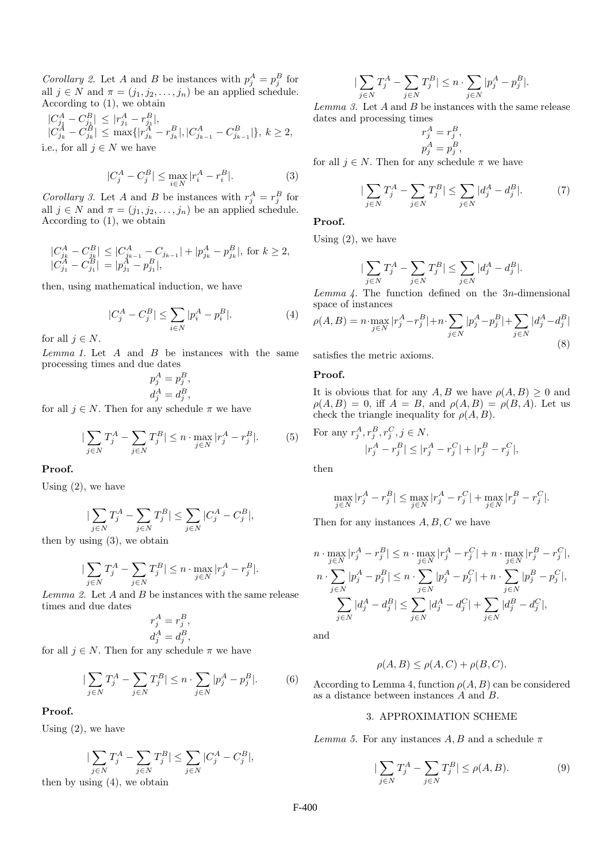Corollary 2. Let A and B be instances with  $p_j^A = p_j^B$  for all  $j \in N$  and  $\pi = (j_1, j_2, \ldots, j_n)$  be an applied schedule. According to (1), we obtain

$$
\begin{array}{l} |C_{j_1}^A - C_{j_1}^B| \le |r_{j_1}^A - r_{j_1}^B|, \\ |C_{j_k}^A - C_{j_k}^B| \le \max\{|r_{j_k}^A - r_{j_k}^B|, |C_{j_{k-1}}^A - C_{j_{k-1}}^B|\}, \, k \ge 2, \\ \text{i.e., for all } j \in N \text{ we have} \end{array}
$$

$$
|C_j^A - C_j^B| \le \max_{i \in N} |r_i^A - r_i^B|.
$$
 (3)

Corollary 3. Let A and B be instances with  $r_j^A = r_j^B$  for all  $j \in N$  and  $\pi = (j_1, j_2, \ldots, j_n)$  be an applied schedule. According to (1), we obtain

$$
\begin{array}{l} |C_{j_k}^A - C_{j_k}^B| \leq |C_{j_{k-1}}^A - C_{j_{k-1}}| + |p_{j_k}^A - p_{j_k}^B|, \; \mbox{for} \; k \geq 2,\\ |C_{j_1}^A - C_{j_1}^B| \, = \, |p_{j_1}^A - p_{j_1}^B|, \end{array}
$$

then, using mathematical induction, we have

$$
|C_j^A - C_j^B| \le \sum_{i \in N} |p_i^A - p_i^B|.
$$
 (4)

for all  $j \in N$ .

 $Lemma 1.$  Let  $A$  and  $B$  be instances with the same processing times and due dates

$$
p_j^A = p_j^B,
$$
  

$$
d_j^A = d_j^B,
$$

for all  $j \in N$ . Then for any schedule  $\pi$  we have

$$
|\sum_{j \in N} T_j^A - \sum_{j \in N} T_j^B| \le n \cdot \max_{j \in N} |r_j^A - r_j^B|.
$$
 (5)

Proof.

Using  $(2)$ , we have

$$
|\sum_{j\in N}T_j^A-\sum_{j\in N}T_j^B|\leq \sum_{j\in N}|C_j^A-C_j^B|,
$$

then by using (3), we obtain

$$
|\sum_{j\in N}T_j^A-\sum_{j\in N}T_j^B|\leq n\cdot \max_{j\in N}|r_j^A-r_j^B|.
$$

Lemma 2. Let A and B be instances with the same release times and due dates

$$
r_j^A = r_j^B,
$$
  

$$
d_j^A = d_j^B,
$$

for all  $j \in N$ . Then for any schedule  $\pi$  we have

$$
|\sum_{j \in N} T_j^A - \sum_{j \in N} T_j^B| \le n \cdot \sum_{j \in N} |p_j^A - p_j^B|.
$$
 (6)

# Proof.

Using (2), we have

$$
|\sum_{j\in N}T_j^A-\sum_{j\in N}T_j^B|\leq \sum_{j\in N}|C_j^A-C_j^B|,
$$

then by using (4), we obtain

$$
|\sum_{j\in N}T_j^A-\sum_{j\in N}T_j^B|\leq n\cdot\sum_{j\in N}|p_j^A-p_j^B|.
$$

 $Lemma 3.$  Let  $A$  and  $B$  be instances with the same release dates and processing times

$$
r_j^A = r_j^B,
$$
  

$$
p_j^A = p_j^B,
$$

for all  $j \in N$ . Then for any schedule  $\pi$  we have

$$
|\sum_{j \in N} T_j^A - \sum_{j \in N} T_j^B| \le \sum_{j \in N} |d_j^A - d_j^B|.
$$
 (7)

## Proof.

Using  $(2)$ , we have

$$
|\sum_{j\in N}T_j^A-\sum_{j\in N}T_j^B|\leq \sum_{j\in N}|d_j^A-d_j^B|.
$$

Lemma  $\angle$ . The function defined on the 3n-dimensional space of instances

$$
\rho(A, B) = n \cdot \max_{j \in N} |r_j^A - r_j^B| + n \cdot \sum_{j \in N} |p_j^A - p_j^B| + \sum_{j \in N} |d_j^A - d_j^B|
$$
\n(8)

satisfies the metric axioms.

# Proof.

It is obvious that for any  $A, B$  we have  $\rho(A, B) \geq 0$  and  $\rho(A, B) = 0$ , iff  $A = B$ , and  $\rho(A, B) = \rho(B, A)$ . Let us check the triangle inequality for  $\rho(A, B)$ .

For any 
$$
r_j^A, r_j^B, r_j^C, j \in N
$$
.  
\n
$$
|r_j^A - r_j^B| \le |r_j^A - r_j^C| + |r_j^B - r_j^C|,
$$

then

$$
\max_{j \in N} |r_j^A - r_j^B| \le \max_{j \in N} |r_j^A - r_j^C| + \max_{j \in N} |r_j^B - r_j^C|.
$$

Then for any instances  $A, B, C$  we have

$$
n \cdot \max_{j \in N} |r_j^A - r_j^B| \le n \cdot \max_{j \in N} |r_j^A - r_j^C| + n \cdot \max_{j \in N} |r_j^B - r_j^C|,
$$
  
\n
$$
n \cdot \sum_{j \in N} |p_j^A - p_j^B| \le n \cdot \sum_{j \in N} |p_j^A - p_j^C| + n \cdot \sum_{j \in N} |p_j^B - p_j^C|,
$$
  
\n
$$
\sum_{j \in N} |d_j^A - d_j^B| \le \sum_{j \in N} |d_j^A - d_j^C| + \sum_{j \in N} |d_j^B - d_j^C|,
$$

and

$$
\rho(A, B) \le \rho(A, C) + \rho(B, C).
$$

According to Lemma 4, function  $\rho(A, B)$  can be considered as a distance between instances A and B.

# 3. APPROXIMATION SCHEME

Lemma 5. For any instances  $A, B$  and a schedule  $\pi$ 

$$
|\sum_{j\in N} T_j^A - \sum_{j\in N} T_j^B| \le \rho(A, B). \tag{9}
$$

F-400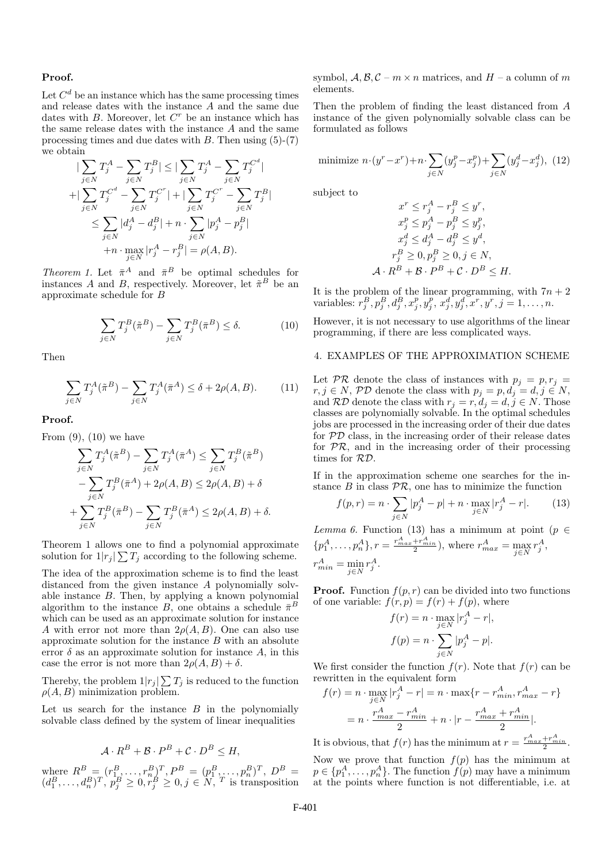#### Proof.

Let  $C<sup>d</sup>$  be an instance which has the same processing times and release dates with the instance A and the same due dates with  $B$ . Moreover, let  $C<sup>r</sup>$  be an instance which has the same release dates with the instance A and the same processing times and due dates with  $B$ . Then using  $(5)-(7)$ we obtain

$$
\begin{aligned} |\sum_{j \in N} T_j^A - \sum_{j \in N} T_j^B| &\leq |\sum_{j \in N} T_j^A - \sum_{j \in N} T_j^{C^d}| \\ + |\sum_{j \in N} T_j^{C^d} - \sum_{j \in N} T_j^{C^r}| + |\sum_{j \in N} T_j^{C^r} - \sum_{j \in N} T_j^B| \\ &\leq \sum_{j \in N} |d_j^A - d_j^B| + n \cdot \sum_{j \in N} |p_j^A - p_j^B| \\ + n \cdot \max_{j \in N} |r_j^A - r_j^B| &= \rho(A, B). \end{aligned}
$$

Theorem 1. Let  $\bar{\pi}^A$  and  $\bar{\pi}^B$  be optimal schedules for instances A and B, respectively. Moreover, let  $\tilde{\pi}^B$  be an approximate schedule for B

$$
\sum_{j \in N} T_j^B(\tilde{\pi}^B) - \sum_{j \in N} T_j^B(\bar{\pi}^B) \le \delta. \tag{10}
$$

Then

$$
\sum_{j \in N} T_j^A(\tilde{\pi}^B) - \sum_{j \in N} T_j^A(\bar{\pi}^A) \le \delta + 2\rho(A, B). \tag{11}
$$

Proof.

From  $(9)$ ,  $(10)$  we have

$$
\sum_{j \in N} T_j^A(\tilde{\pi}^B) - \sum_{j \in N} T_j^A(\bar{\pi}^A) \le \sum_{j \in N} T_j^B(\tilde{\pi}^B)
$$

$$
- \sum_{j \in N} T_j^B(\bar{\pi}^A) + 2\rho(A, B) \le 2\rho(A, B) + \delta
$$

$$
+ \sum_{j \in N} T_j^B(\bar{\pi}^B) - \sum_{j \in N} T_j^B(\bar{\pi}^A) \le 2\rho(A, B) + \delta.
$$

Theorem 1 allows one to find a polynomial approximate solution for  $1|r_j| \sum T_j$  according to the following scheme.

The idea of the approximation scheme is to find the least distanced from the given instance A polynomially solvable instance B. Then, by applying a known polynomial algorithm to the instance  $\overline{B}$ , one obtains a schedule  $\overline{\pi}^B$ which can be used as an approximate solution for instance A with error not more than  $2\rho(A, B)$ . One can also use approximate solution for the instance  $B$  with an absolute error  $\delta$  as an approximate solution for instance A, in this case the error is not more than  $2\rho(A, B) + \delta$ .

Thereby, the problem  $1|r_j| \sum T_j$  is reduced to the function  $\rho(A, B)$  minimization problem.

Let us search for the instance  $B$  in the polynomially solvable class defined by the system of linear inequalities

$$
\mathcal{A} \cdot R^B + \mathcal{B} \cdot P^B + \mathcal{C} \cdot D^B \le H,
$$

where  $R^B = (r_{1}^B, \ldots, r_n^B)^T, P^B = (p_1^B, \ldots, p_n^B)^T, D^B =$  $(d_1^B, \ldots, d_n^B)^T$ ,  $p_j^B \geq 0, \overset{\sim}{r}_j^B \geq 0, j \in \overline{N}$ , T is transposition symbol,  $\mathcal{A}, \mathcal{B}, \mathcal{C} - m \times n$  matrices, and  $H - a$  column of m elements.

Then the problem of finding the least distanced from A instance of the given polynomially solvable class can be formulated as follows

minimize 
$$
n \cdot (y^r - x^r) + n \cdot \sum_{j \in N} (y_j^p - x_j^p) + \sum_{j \in N} (y_j^d - x_j^d),
$$
 (12)

subject to

$$
x^r \le r_j^A - r_j^B \le y^r,
$$
  
\n
$$
x_j^p \le p_j^A - p_j^B \le y_j^p,
$$
  
\n
$$
x_j^d \le d_j^A - d_j^B \le y^d,
$$
  
\n
$$
r_j^B \ge 0, p_j^B \ge 0, j \in N,
$$
  
\n
$$
\mathcal{A} \cdot R^B + \mathcal{B} \cdot P^B + \mathcal{C} \cdot D^B \le H.
$$

It is the problem of the linear programming, with  $7n + 2$ variables:  $r_j^B, p_j^B, d_j^B, x_j^p, y_j^p, x_j^d, y_j^d, x^r, y^r, j = 1, ..., n$ .

However, it is not necessary to use algorithms of the linear programming, if there are less complicated ways.

### 4. EXAMPLES OF THE APPROXIMATION SCHEME

Let  $PR$  denote the class of instances with  $p_j = p, r_j =$  $r, j \in N$ , PD denote the class with  $p_j = p, d_j = d, j \in N$ , and  $\mathcal{RD}$  denote the class with  $r_j = r, d_j = d, j \in N$ . Those classes are polynomially solvable. In the optimal schedules jobs are processed in the increasing order of their due dates for PD class, in the increasing order of their release dates for  $PR$ , and in the increasing order of their processing times for RD.

If in the approximation scheme one searches for the instance  $B$  in class  $\mathcal{PR}$ , one has to minimize the function

$$
f(p,r) = n \cdot \sum_{j \in N} |p_j^A - p| + n \cdot \max_{j \in N} |r_j^A - r|.
$$
 (13)

Lemma 6. Function (13) has a minimum at point ( $p \in$  $\{p_1^A, \ldots, p_n^A\}, r = \frac{r_{max}^A + r_{min}^A}{2}\},$  where  $r_{max}^A = \max_{j \in N} r_j^A$ ,  $r_{min}^A = \min_{j \in N} r_j^A.$ 

**Proof.** Function  $f(p, r)$  can be divided into two functions of one variable:  $f(r, p) = f(r) + f(p)$ , where

$$
f(r) = n \cdot \max_{j \in N} |r_j^A - r|,
$$
  

$$
f(p) = n \cdot \sum_{j \in N} |p_j^A - p|.
$$

We first consider the function  $f(r)$ . Note that  $f(r)$  can be rewritten in the equivalent form

$$
f(r) = n \cdot \max_{j \in N} |r_j^A - r| = n \cdot \max\{r - r_{min}^A, r_{max}^A - r\}
$$

$$
= n \cdot \frac{r_{max}^A - r_{min}^A}{2} + n \cdot |r - \frac{r_{max}^A + r_{min}^A}{2}|.
$$

It is obvious, that  $f(r)$  has the minimum at  $r = \frac{r_{max}^A + r_{min}^A}{2}$ .

Now we prove that function  $f(p)$  has the minimum at  $p \in \{p_1^A, \ldots, p_n^A\}$ . The function  $f(p)$  may have a minimum at the points where function is not differentiable, i.e. at